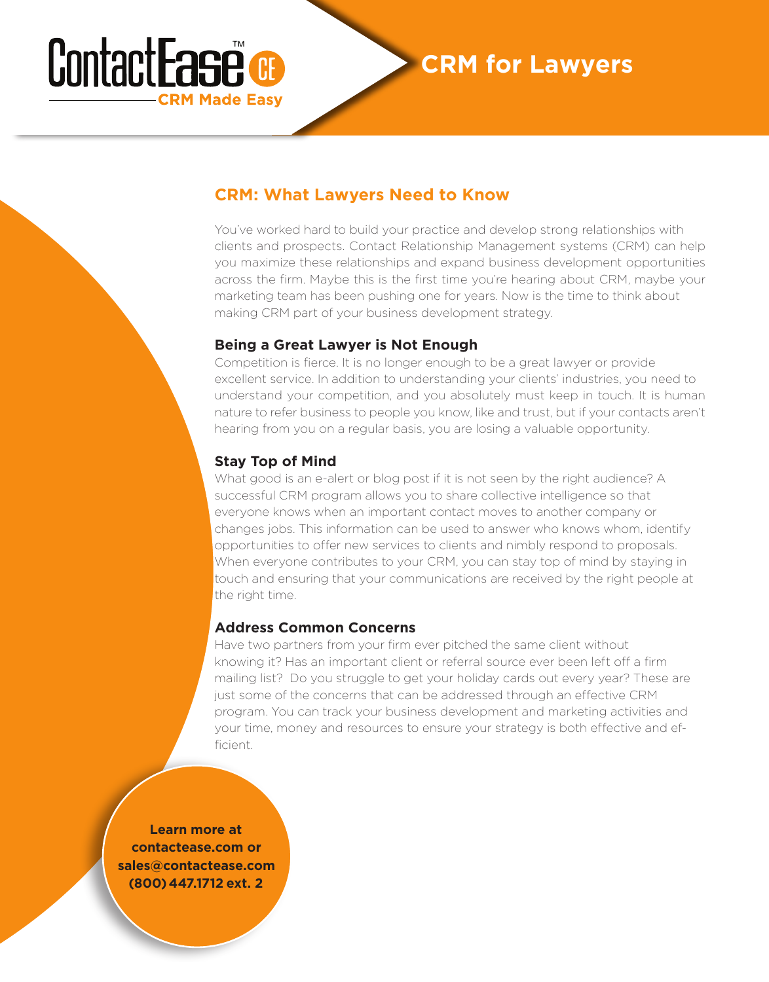## ContactEase **CRM Made Easy**

### **CRM for Lawyers**

#### **CRM: What Lawyers Need to Know**

You've worked hard to build your practice and develop strong relationships with clients and prospects. Contact Relationship Management systems (CRM) can help you maximize these relationships and expand business development opportunities across the firm. Maybe this is the first time you're hearing about CRM, maybe your marketing team has been pushing one for years. Now is the time to think about making CRM part of your business development strategy.

#### **Being a Great Lawyer is Not Enough**

Competition is fierce. It is no longer enough to be a great lawyer or provide excellent service. In addition to understanding your clients' industries, you need to understand your competition, and you absolutely must keep in touch. It is human nature to refer business to people you know, like and trust, but if your contacts aren't hearing from you on a regular basis, you are losing a valuable opportunity.

#### **Stay Top of Mind**

What good is an e-alert or blog post if it is not seen by the right audience? A successful CRM program allows you to share collective intelligence so that everyone knows when an important contact moves to another company or changes jobs. This information can be used to answer who knows whom, identify opportunities to offer new services to clients and nimbly respond to proposals. When everyone contributes to your CRM, you can stay top of mind by staying in touch and ensuring that your communications are received by the right people at the right time.

#### **Address Common Concerns**

Have two partners from your firm ever pitched the same client without knowing it? Has an important client or referral source ever been left off a firm mailing list? Do you struggle to get your holiday cards out every year? These are just some of the concerns that can be addressed through an effective CRM program. You can track your business development and marketing activities and your time, money and resources to ensure your strategy is both effective and efficient.

**Learn more at contactease.com or sales@contactease.com (800) 447.1712 ext. 2**